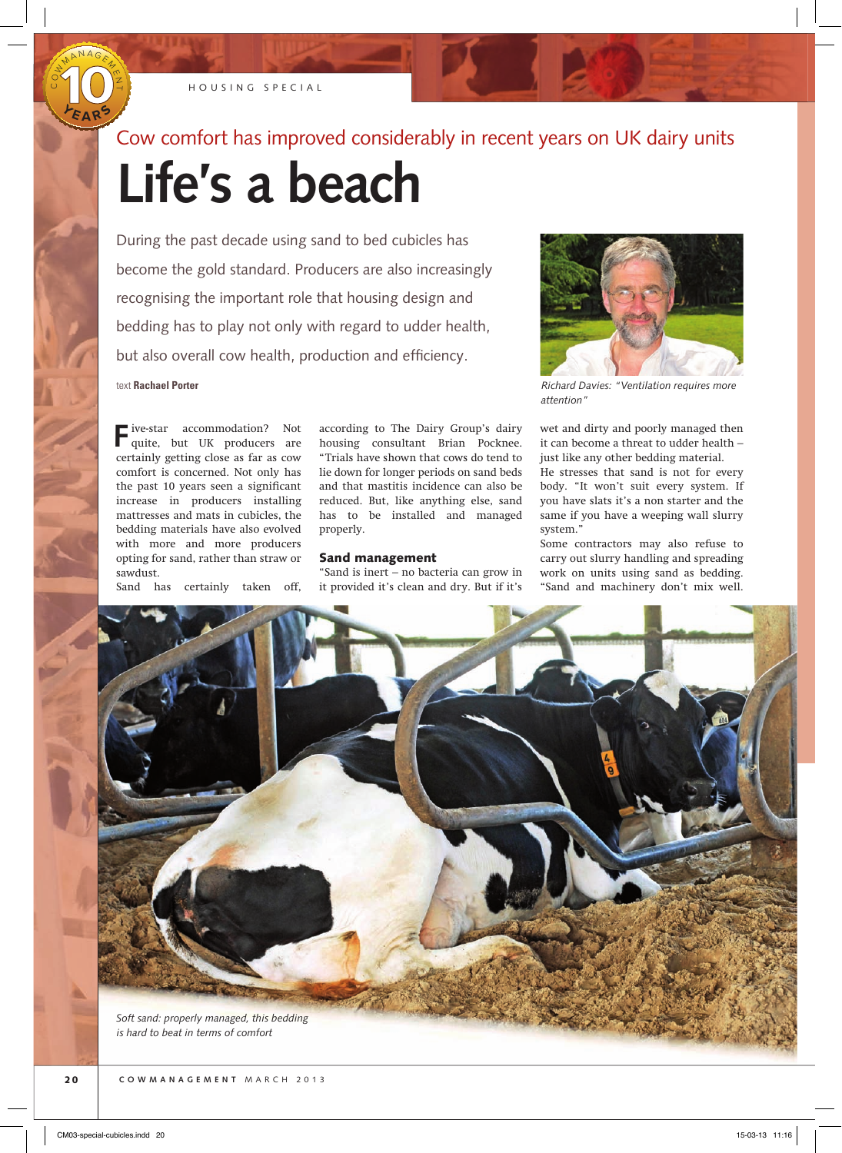

O<br>U

HOUSING SPECIAL

## Cow comfort has improved considerably in recent years on UK dairy units

# **Life's a beach**

During the past decade using sand to bed cubicles has become the gold standard. Producers are also increasingly recognising the important role that housing design and bedding has to play not only with regard to udder health, but also overall cow health, production and efficiency. text **Rachael Porter**



*Richard Davies: "Ventilation requires more attention"*

**F**ive-star accommodation? Not quite, but UK producers are certainly getting close as far as cow comfort is concerned. Not only has the past 10 years seen a significant increase in producers installing mattresses and mats in cubicles, the bedding materials have also evolved with more and more producers opting for sand, rather than straw or sawdust.

Sand has certainly taken off,

according to The Dairy Group's dairy housing consultant Brian Pocknee. "Trials have shown that cows do tend to lie down for longer periods on sand beds and that mastitis incidence can also be reduced. But, like anything else, sand has to be installed and managed properly.

## Sand management

"Sand is inert – no bacteria can grow in it provided it's clean and dry. But if it's

wet and dirty and poorly managed then it can become a threat to udder health – just like any other bedding material.

He stresses that sand is not for every body. "It won't suit every system. If you have slats it's a non starter and the same if you have a weeping wall slurry system."

Some contractors may also refuse to carry out slurry handling and spreading work on units using sand as bedding. "Sand and machinery don't mix well.

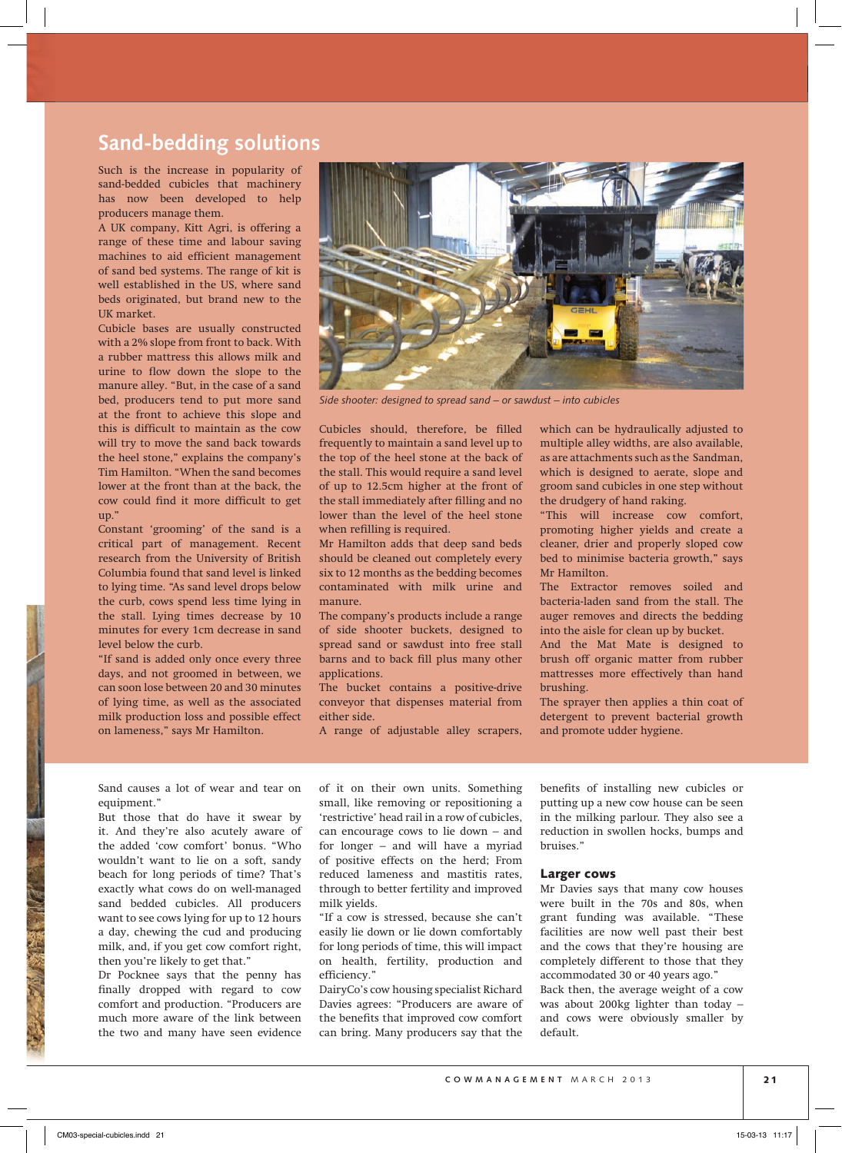## **Sand-bedding solutions**

Such is the increase in popularity of sand-bedded cubicles that machinery has now been developed to help producers manage them.

A UK company, Kitt Agri, is offering a range of these time and labour saving machines to aid efficient management of sand bed systems. The range of kit is well established in the US, where sand beds originated, but brand new to the UK market.

Cubicle bases are usually constructed with a 2% slope from front to back. With a rubber mattress this allows milk and urine to flow down the slope to the manure alley. "But, in the case of a sand bed, producers tend to put more sand at the front to achieve this slope and this is difficult to maintain as the cow will try to move the sand back towards the heel stone," explains the company's Tim Hamilton. "When the sand becomes lower at the front than at the back, the cow could find it more difficult to get up."

Constant 'grooming' of the sand is a critical part of management. Recent research from the University of British Columbia found that sand level is linked to lying time. "As sand level drops below the curb, cows spend less time lying in the stall. Lying times decrease by 10 minutes for every 1cm decrease in sand level below the curb.

"If sand is added only once every three days, and not groomed in between, we can soon lose between 20 and 30 minutes of lying time, as well as the associated milk production loss and possible effect on lameness," says Mr Hamilton.



*Side shooter: designed to spread sand* – *or sawdust* – *into cubicles*

Cubicles should, therefore, be filled frequently to maintain a sand level up to the top of the heel stone at the back of the stall. This would require a sand level of up to 12.5cm higher at the front of the stall immediately after filling and no lower than the level of the heel stone when refilling is required.

Mr Hamilton adds that deep sand beds should be cleaned out completely every six to 12 months as the bedding becomes contaminated with milk urine and manure.

The company's products include a range of side shooter buckets, designed to spread sand or sawdust into free stall barns and to back fill plus many other applications.

The bucket contains a positive-drive conveyor that dispenses material from either side.

A range of adjustable alley scrapers,

which can be hydraulically adjusted to multiple alley widths, are also available, as are attachments such as the Sandman, which is designed to aerate, slope and groom sand cubicles in one step without the drudgery of hand raking.

"This will increase cow comfort, promoting higher yields and create a cleaner, drier and properly sloped cow bed to minimise bacteria growth," says Mr Hamilton.

The Extractor removes soiled and bacteria-laden sand from the stall. The auger removes and directs the bedding into the aisle for clean up by bucket.

And the Mat Mate is designed to brush off organic matter from rubber mattresses more effectively than hand brushing.

The sprayer then applies a thin coat of detergent to prevent bacterial growth and promote udder hygiene.

Sand causes a lot of wear and tear on equipment."

But those that do have it swear by it. And they're also acutely aware of the added 'cow comfort' bonus. "Who wouldn't want to lie on a soft, sandy beach for long periods of time? That's exactly what cows do on well-managed sand bedded cubicles. All producers want to see cows lying for up to 12 hours a day, chewing the cud and producing milk, and, if you get cow comfort right, then you're likely to get that."

Dr Pocknee says that the penny has finally dropped with regard to cow comfort and production. "Producers are much more aware of the link between the two and many have seen evidence of it on their own units. Something small, like removing or repositioning a 'restrictive' head rail in a row of cubicles, can encourage cows to lie down – and for longer – and will have a myriad of positive effects on the herd; From reduced lameness and mastitis rates, through to better fertility and improved milk yields.

"If a cow is stressed, because she can't easily lie down or lie down comfortably for long periods of time, this will impact on health, fertility, production and efficiency."

DairyCo's cow housing specialist Richard Davies agrees: "Producers are aware of the benefits that improved cow comfort can bring. Many producers say that the

benefits of installing new cubicles or putting up a new cow house can be seen in the milking parlour. They also see a reduction in swollen hocks, bumps and bruises."

## Larger cows

Mr Davies says that many cow houses were built in the 70s and 80s, when grant funding was available. "These facilities are now well past their best and the cows that they're housing are completely different to those that they accommodated 30 or 40 years ago."

Back then, the average weight of a cow was about 200kg lighter than today – and cows were obviously smaller by default.